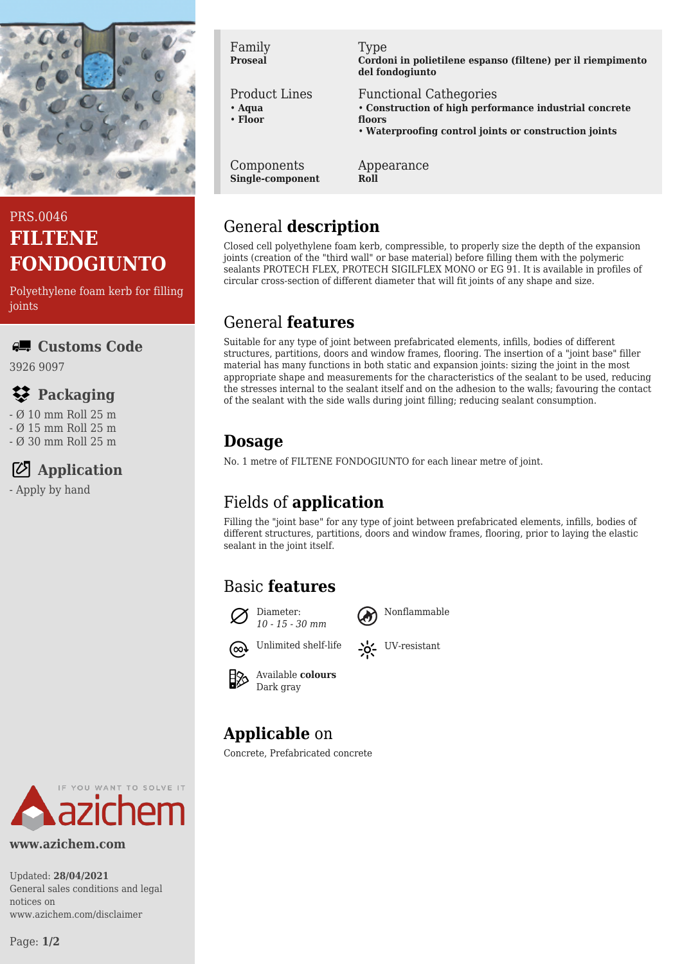

### PRS.0046 **FILTENE FONDOGIUNTO**

Polyethylene foam kerb for filling ioints

### **Customs Code**

3926 9097

## **Packaging**

- Ø 10 mm Roll 25 m
- Ø 15 mm Roll 25 m
- Ø 30 mm Roll 25 m

# **Application**

- Apply by hand

Family **Proseal**

#### Product Lines

- **Aqua**
- **Floor**

Components **Single-component**

#### Type

**Cordoni in polietilene espanso (filtene) per il riempimento del fondogiunto**

Functional Cathegories

- **Construction of high performance industrial concrete floors**
- **Waterproofing control joints or construction joints**

Appearance **Roll**

## General **description**

Closed cell polyethylene foam kerb, compressible, to properly size the depth of the expansion joints (creation of the "third wall" or base material) before filling them with the polymeric sealants PROTECH FLEX, PROTECH SIGILFLEX MONO or EG 91. It is available in profiles of circular cross-section of different diameter that will fit joints of any shape and size.

### General **features**

Suitable for any type of joint between prefabricated elements, infills, bodies of different structures, partitions, doors and window frames, flooring. The insertion of a "joint base" filler material has many functions in both static and expansion joints: sizing the joint in the most appropriate shape and measurements for the characteristics of the sealant to be used, reducing the stresses internal to the sealant itself and on the adhesion to the walls; favouring the contact of the sealant with the side walls during joint filling; reducing sealant consumption.

## **Dosage**

No. 1 metre of FILTENE FONDOGIUNTO for each linear metre of joint.

## Fields of **application**

Filling the "joint base" for any type of joint between prefabricated elements, infills, bodies of different structures, partitions, doors and window frames, flooring, prior to laying the elastic sealant in the joint itself.

### Basic **features**





Unlimited shelf-life  $\sum_{i=1}^{N}$  UV-resistant





# **Applicable** on

Concrete, Prefabricated concrete



#### **www.azichem.com**

Updated: **28/04/2021** General sales conditions and legal notices on www.azichem.com/disclaimer